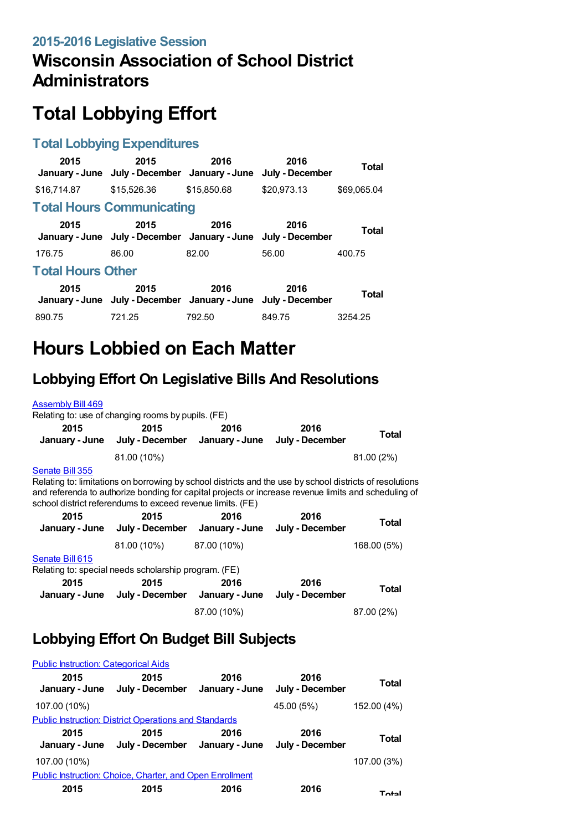# **Wisconsin Association of School District Administrators**

# **Total Lobbying Effort**

#### **Total Lobbying Expenditures**

| 2015                             | 2015<br>January - June July - December January - June                 | 2016        | 2016<br>July - December | Total        |  |
|----------------------------------|-----------------------------------------------------------------------|-------------|-------------------------|--------------|--|
| \$16,714.87                      | \$15,526.36                                                           | \$15,850,68 | \$20.973.13             | \$69.065.04  |  |
| <b>Total Hours Communicating</b> |                                                                       |             |                         |              |  |
| 2015                             | 2015<br>January - June July - December January - June July - December | 2016        | 2016                    | Total        |  |
| 176.75                           | 86.00                                                                 | 82.00       | 56.00                   | 400.75       |  |
| <b>Total Hours Other</b>         |                                                                       |             |                         |              |  |
| 2015                             | 2015<br>January - June July - December January - June July - December | 2016        | 2016                    | <b>Total</b> |  |
| 890.75                           | 721.25                                                                | 792.50      | 849.75                  | 3254.25      |  |

# **Hours Lobbied on Each Matter**

#### **Lobbying Effort On Legislative Bills And Resolutions**

#### [Assembly](https://lobbying.wi.gov/What/BillInformation/2015REG/Information/12574?tab=Efforts) Bill 469 Relating to: use of changing rooms by pupils. (FE) **2015 January - June July - December January - June July - December 2015 2016 2016 Total** 81.00 (10%) 81.00 (2%) [Senate](https://lobbying.wi.gov/What/BillInformation/2015REG/Information/12555?tab=Efforts) Bill 355 Relating to: limitations on borrowing by school districts and the use by school districts of resolutions and referenda to authorize bonding for capital projects or increase revenue limits and scheduling of school district referendums to exceed revenue limits. (FE)

| Total        | 2016<br>July - December | 2016<br>January - June | 2015<br>July - December                              | 2015<br>January - June |
|--------------|-------------------------|------------------------|------------------------------------------------------|------------------------|
| 168.00 (5%)  |                         | 87.00 (10%)            | 81.00 (10%)                                          |                        |
|              |                         |                        |                                                      | Senate Bill 615        |
|              |                         |                        | Relating to: special needs scholarship program. (FE) |                        |
| <b>Total</b> | 2016<br>July - December | 2016<br>January - June | 2015<br>July - December                              | 2015<br>January - June |
| 87.00 (2%)   |                         | 87.00 (10%)            |                                                      |                        |

### **Lobbying Effort On Budget Bill Subjects**

| <b>Public Instruction: Categorical Aids</b>                  |                                                                 |                        |                         |             |  |
|--------------------------------------------------------------|-----------------------------------------------------------------|------------------------|-------------------------|-------------|--|
| 2015                                                         | 2015<br>January - June July - December                          | 2016<br>January - June | 2016<br>July - December | Total       |  |
| 107.00 (10%)                                                 |                                                                 |                        | 45.00 (5%)              | 152.00 (4%) |  |
| <b>Public Instruction: District Operations and Standards</b> |                                                                 |                        |                         |             |  |
|                                                              |                                                                 |                        |                         |             |  |
| 2015                                                         | 2015<br>January - June July - December January - June           | 2016                   | 2016<br>July - December | Total       |  |
| 107.00 (10%)                                                 |                                                                 |                        |                         | 107.00 (3%) |  |
|                                                              | <b>Public Instruction: Choice, Charter, and Open Enrollment</b> |                        |                         |             |  |